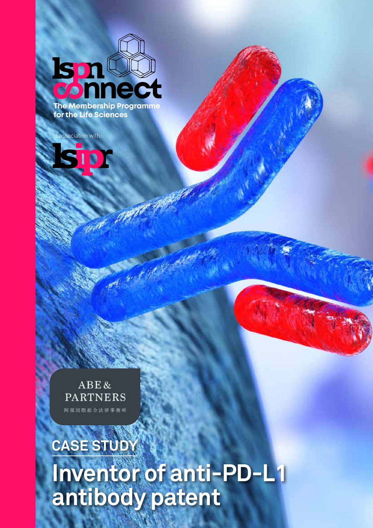**ISP The Membership Programme for the Life Sciences**

association with:



# **CASE STUDY Inventor of anti-PD-L1 antibody patent**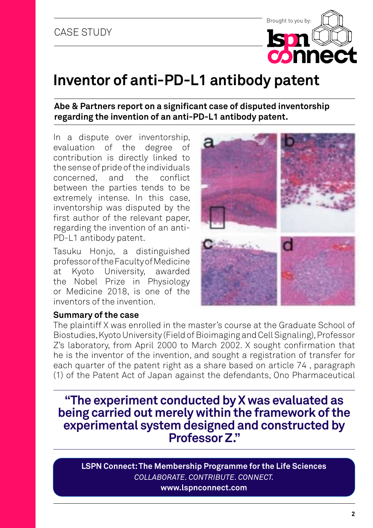# **Inventor of anti-PD-L1 antibody patent**

### **Abe & Partners report on a significant case of disputed inventorship regarding the invention of an anti-PD-L1 antibody patent.**

In a dispute over inventorship, evaluation of the degree of contribution is directly linked to the sense of pride of the individuals concerned, and the conflict between the parties tends to be extremely intense. In this case, inventorship was disputed by the first author of the relevant paper, regarding the invention of an anti-PD-L1 antibody patent.

Tasuku Honjo, a distinguished professor of the Faculty of Medicine at Kyoto University, awarded the Nobel Prize in Physiology or Medicine 2018, is one of the inventors of the invention.

#### **Summary of the case**



Brought to you by:

**Ism** 

connec

The plaintiff X was enrolled in the master's course at the Graduate School of Biostudies, Kyoto University (Field of Bioimaging and Cell Signaling), Professor Z's laboratory, from April 2000 to March 2002. X sought confirmation that he is the inventor of the invention, and sought a registration of transfer for each quarter of the patent right as a share based on article 74 , paragraph (1) of the Patent Act of Japan against the defendants, Ono Pharmaceutical

**"The experiment conducted by X was evaluated as being carried out merely within the framework of the experimental system designed and constructed by Professor Z."**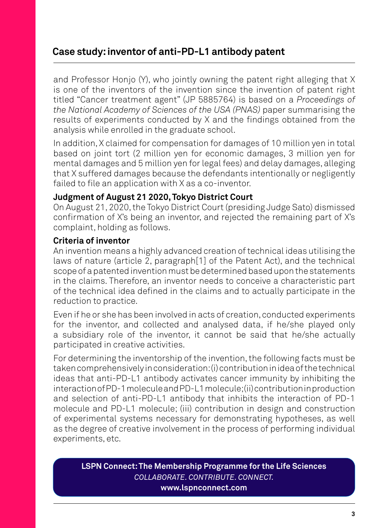and Professor Honjo (Y), who jointly owning the patent right alleging that X is one of the inventors of the invention since the invention of patent right titled "Cancer treatment agent" (JP 5885764) is based on a *Proceedings of the National Academy of Sciences of the USA (PNAS)* paper summarising the results of experiments conducted by X and the findings obtained from the analysis while enrolled in the graduate school.

In addition, X claimed for compensation for damages of 10 million yen in total based on joint tort (2 million yen for economic damages, 3 million yen for mental damages and 5 million yen for legal fees) and delay damages, alleging that X suffered damages because the defendants intentionally or negligently failed to file an application with X as a co-inventor.

## **Judgment of August 21 2020, Tokyo District Court**

On August 21, 2020, the Tokyo District Court (presiding Judge Sato) dismissed confirmation of X's being an inventor, and rejected the remaining part of X's complaint, holding as follows.

## **Criteria of inventor**

An invention means a highly advanced creation of technical ideas utilising the laws of nature (article 2, paragraph[1] of the Patent Act), and the technical scope of a patented invention must be determined based upon the statements in the claims. Therefore, an inventor needs to conceive a characteristic part of the technical idea defined in the claims and to actually participate in the reduction to practice.

Even if he or she has been involved in acts of creation, conducted experiments for the inventor, and collected and analysed data, if he/she played only a subsidiary role of the inventor, it cannot be said that he/she actually participated in creative activities.

For determining the inventorship of the invention, the following facts must be taken comprehensively in consideration: (i) contribution in idea of the technical ideas that anti-PD-L1 antibody activates cancer immunity by inhibiting the interaction of PD-1 molecule and PD-L1 molecule; (ii) contribution in production and selection of anti-PD-L1 antibody that inhibits the interaction of PD-1 molecule and PD-L1 molecule; (iii) contribution in design and construction of experimental systems necessary for demonstrating hypotheses, as well as the degree of creative involvement in the process of performing individual experiments, etc.

**LSPN Connect: The Membership Programme for the Life Sciences** *COLLABORATE. CONTRIBUTE. CONNECT.*

#### **www.lspnconnect.com**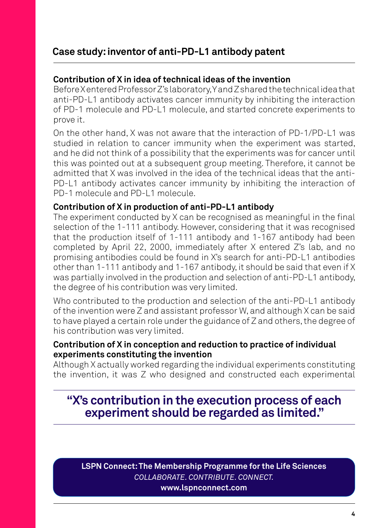## **Contribution of X in idea of technical ideas of the invention**

Before X entered Professor Z's laboratory, Y and Z shared the technical idea that anti-PD-L1 antibody activates cancer immunity by inhibiting the interaction of PD-1 molecule and PD-L1 molecule, and started concrete experiments to prove it.

On the other hand, X was not aware that the interaction of PD-1/PD-L1 was studied in relation to cancer immunity when the experiment was started, and he did not think of a possibility that the experiments was for cancer until this was pointed out at a subsequent group meeting. Therefore, it cannot be admitted that X was involved in the idea of the technical ideas that the anti-PD-L1 antibody activates cancer immunity by inhibiting the interaction of PD-1 molecule and PD-L1 molecule.

## **Contribution of X in production of anti-PD-L1 antibody**

The experiment conducted by X can be recognised as meaningful in the final selection of the 1-111 antibody. However, considering that it was recognised that the production itself of 1-111 antibody and 1-167 antibody had been completed by April 22, 2000, immediately after X entered Z's lab, and no promising antibodies could be found in X's search for anti-PD-L1 antibodies other than 1-111 antibody and 1-167 antibody, it should be said that even if X was partially involved in the production and selection of anti-PD-L1 antibody, the degree of his contribution was very limited.

Who contributed to the production and selection of the anti-PD-L1 antibody of the invention were Z and assistant professor W, and although X can be said to have played a certain role under the guidance of Z and others, the degree of his contribution was very limited.

## **Contribution of X in conception and reduction to practice of individual experiments constituting the invention**

Although X actually worked regarding the individual experiments constituting the invention, it was Z who designed and constructed each experimental

# **"X's contribution in the execution process of each experiment should be regarded as limited."**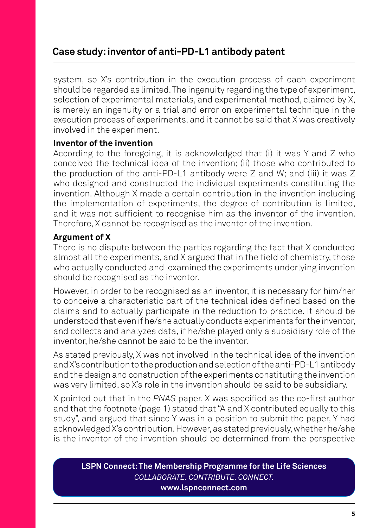system, so X's contribution in the execution process of each experiment should be regarded as limited. The ingenuity regarding the type of experiment, selection of experimental materials, and experimental method, claimed by X, is merely an ingenuity or a trial and error on experimental technique in the execution process of experiments, and it cannot be said that X was creatively involved in the experiment.

## **Inventor of the invention**

According to the foregoing, it is acknowledged that (i) it was Y and Z who conceived the technical idea of the invention; (ii) those who contributed to the production of the anti-PD-L1 antibody were Z and W; and (iii) it was Z who designed and constructed the individual experiments constituting the invention. Although X made a certain contribution in the invention including the implementation of experiments, the degree of contribution is limited, and it was not sufficient to recognise him as the inventor of the invention. Therefore, X cannot be recognised as the inventor of the invention.

## **Argument of X**

There is no dispute between the parties regarding the fact that X conducted almost all the experiments, and X argued that in the field of chemistry, those who actually conducted and examined the experiments underlying invention should be recognised as the inventor.

However, in order to be recognised as an inventor, it is necessary for him/her to conceive a characteristic part of the technical idea defined based on the claims and to actually participate in the reduction to practice. It should be understood that even if he/she actually conducts experiments for the inventor, and collects and analyzes data, if he/she played only a subsidiary role of the inventor, he/she cannot be said to be the inventor.

As stated previously, X was not involved in the technical idea of the invention and X's contribution to the production and selection of the anti-PD-L1 antibody and the design and construction of the experiments constituting the invention was very limited, so X's role in the invention should be said to be subsidiary.

X pointed out that in the *PNAS* paper, X was specified as the co-first author and that the footnote (page 1) stated that "A and X contributed equally to this study", and argued that since Y was in a position to submit the paper, Y had acknowledged X's contribution. However, as stated previously, whether he/she is the inventor of the invention should be determined from the perspective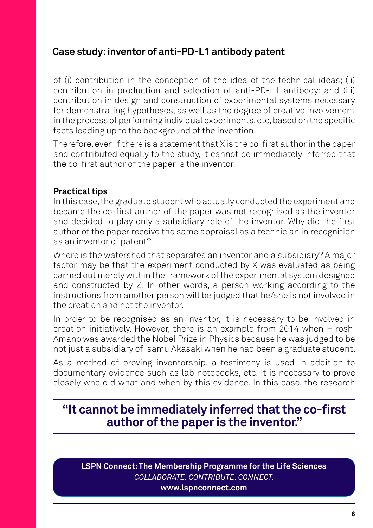of (i) contribution in the conception of the idea of the technical ideas; (ii) contribution in production and selection of anti-PD-L1 antibody; and (iii) contribution in design and construction of experimental systems necessary for demonstrating hypotheses, as well as the degree of creative involvement in the process of performing individual experiments, etc, based on the specific facts leading up to the background of the invention.

Therefore, even if there is a statement that X is the co-first author in the paper and contributed equally to the study, it cannot be immediately inferred that the co-first author of the paper is the inventor.

## **Practical tips**

In this case, the graduate student who actually conducted the experiment and became the co-first author of the paper was not recognised as the inventor and decided to play only a subsidiary role of the inventor. Why did the first author of the paper receive the same appraisal as a technician in recognition as an inventor of patent?

Where is the watershed that separates an inventor and a subsidiary? A major factor may be that the experiment conducted by X was evaluated as being carried out merely within the framework of the experimental system designed and constructed by Z. In other words, a person working according to the instructions from another person will be judged that he/she is not involved in the creation and not the inventor.

In order to be recognised as an inventor, it is necessary to be involved in creation initiatively. However, there is an example from 2014 when Hiroshi Amano was awarded the Nobel Prize in Physics because he was judged to be not just a subsidiary of Isamu Akasaki when he had been a graduate student.

As a method of proving inventorship, a testimony is used in addition to documentary evidence such as lab notebooks, etc. It is necessary to prove closely who did what and when by this evidence. In this case, the research

# **"It cannot be immediately inferred that the co-first author of the paper is the inventor."**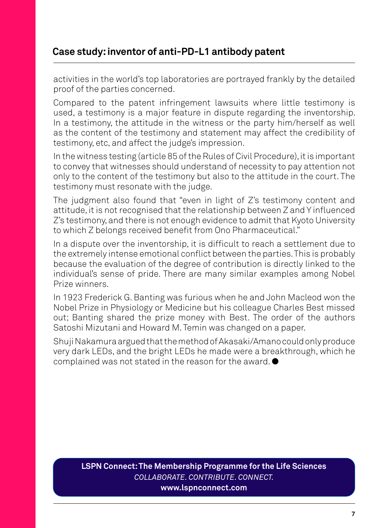activities in the world's top laboratories are portrayed frankly by the detailed proof of the parties concerned.

Compared to the patent infringement lawsuits where little testimony is used, a testimony is a major feature in dispute regarding the inventorship. In a testimony, the attitude in the witness or the party him/herself as well as the content of the testimony and statement may affect the credibility of testimony, etc, and affect the judge's impression.

In the witness testing (article 85 of the Rules of Civil Procedure), it is important to convey that witnesses should understand of necessity to pay attention not only to the content of the testimony but also to the attitude in the court. The testimony must resonate with the judge.

The judgment also found that "even in light of Z's testimony content and attitude, it is not recognised that the relationship between Z and Y influenced Z's testimony, and there is not enough evidence to admit that Kyoto University to which Z belongs received benefit from Ono Pharmaceutical."

In a dispute over the inventorship, it is difficult to reach a settlement due to the extremely intense emotional conflict between the parties. This is probably because the evaluation of the degree of contribution is directly linked to the individual's sense of pride. There are many similar examples among Nobel Prize winners.

In 1923 Frederick G. Banting was furious when he and John Macleod won the Nobel Prize in Physiology or Medicine but his colleague Charles Best missed out; Banting shared the prize money with Best. The order of the authors Satoshi Mizutani and Howard M. Temin was changed on a paper.

Shuji Nakamura argued that the method of Akasaki/Amano could only produce very dark LEDs, and the bright LEDs he made were a breakthrough, which he complained was not stated in the reason for the award.  $\bullet$